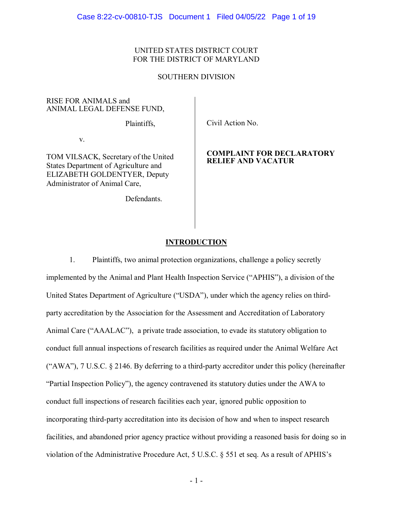# UNITED STATES DISTRICT COURT FOR THE DISTRICT OF MARYLAND

#### SOUTHERN DIVISION

RISE FOR ANIMALS and ANIMAL LEGAL DEFENSE FUND,

Plaintiffs,

v.

TOM VILSACK, Secretary of the United States Department of Agriculture and ELIZABETH GOLDENTYER, Deputy Administrator of Animal Care,

Defendants.

Civil Action No.

## **COMPLAINT FOR DECLARATORY RELIEF AND VACATUR**

## **INTRODUCTION**

1. Plaintiffs, two animal protection organizations, challenge a policy secretly implemented by the Animal and Plant Health Inspection Service ("APHIS"), a division of the United States Department of Agriculture ("USDA"), under which the agency relies on thirdparty accreditation by the Association for the Assessment and Accreditation of Laboratory Animal Care ("AAALAC"), a private trade association, to evade its statutory obligation to conduct full annual inspections of research facilities as required under the Animal Welfare Act ("AWA"), 7 U.S.C. § 2146. By deferring to a third-party accreditor under this policy (hereinafter "Partial Inspection Policy"), the agency contravened its statutory duties under the AWA to conduct full inspections of research facilities each year, ignored public opposition to incorporating third-party accreditation into its decision of how and when to inspect research facilities, and abandoned prior agency practice without providing a reasoned basis for doing so in violation of the Administrative Procedure Act, 5 U.S.C. § 551 et seq. As a result of APHIS's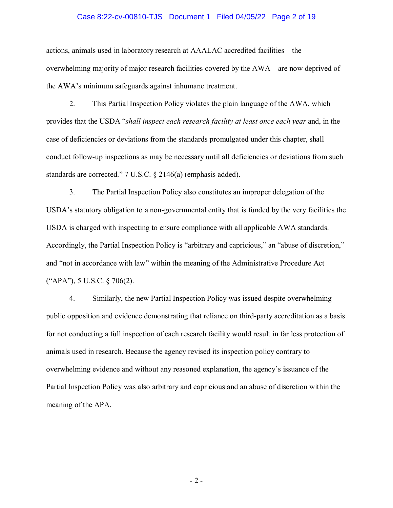### Case 8:22-cv-00810-TJS Document 1 Filed 04/05/22 Page 2 of 19

actions, animals used in laboratory research at AAALAC accredited facilities—the overwhelming majority of major research facilities covered by the AWA—are now deprived of the AWA's minimum safeguards against inhumane treatment.

2. This Partial Inspection Policy violates the plain language of the AWA, which provides that the USDA "*shall inspect each research facility at least once each year* and, in the case of deficiencies or deviations from the standards promulgated under this chapter, shall conduct follow-up inspections as may be necessary until all deficiencies or deviations from such standards are corrected." 7 U.S.C. § 2146(a) (emphasis added).

3. The Partial Inspection Policy also constitutes an improper delegation of the USDA's statutory obligation to a non-governmental entity that is funded by the very facilities the USDA is charged with inspecting to ensure compliance with all applicable AWA standards. Accordingly, the Partial Inspection Policy is "arbitrary and capricious," an "abuse of discretion," and "not in accordance with law" within the meaning of the Administrative Procedure Act ("APA"), 5 U.S.C. § 706(2).

4. Similarly, the new Partial Inspection Policy was issued despite overwhelming public opposition and evidence demonstrating that reliance on third-party accreditation as a basis for not conducting a full inspection of each research facility would result in far less protection of animals used in research. Because the agency revised its inspection policy contrary to overwhelming evidence and without any reasoned explanation, the agency's issuance of the Partial Inspection Policy was also arbitrary and capricious and an abuse of discretion within the meaning of the APA.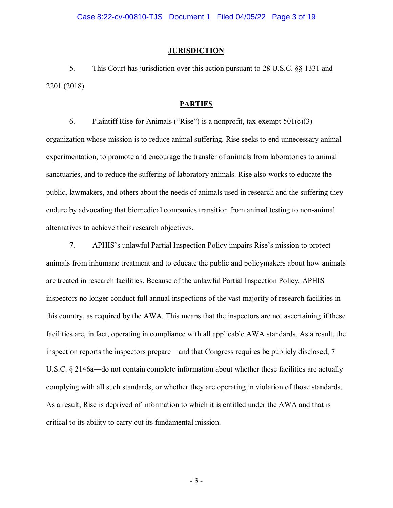#### **JURISDICTION**

5. This Court has jurisdiction over this action pursuant to 28 U.S.C. §§ 1331 and 2201 (2018).

#### **PARTIES**

6. Plaintiff Rise for Animals ("Rise") is a nonprofit, tax-exempt  $501(c)(3)$ organization whose mission is to reduce animal suffering. Rise seeks to end unnecessary animal experimentation, to promote and encourage the transfer of animals from laboratories to animal sanctuaries, and to reduce the suffering of laboratory animals. Rise also works to educate the public, lawmakers, and others about the needs of animals used in research and the suffering they endure by advocating that biomedical companies transition from animal testing to non-animal alternatives to achieve their research objectives.

7. APHIS's unlawful Partial Inspection Policy impairs Rise's mission to protect animals from inhumane treatment and to educate the public and policymakers about how animals are treated in research facilities. Because of the unlawful Partial Inspection Policy, APHIS inspectors no longer conduct full annual inspections of the vast majority of research facilities in this country, as required by the AWA. This means that the inspectors are not ascertaining if these facilities are, in fact, operating in compliance with all applicable AWA standards. As a result, the inspection reports the inspectors prepare—and that Congress requires be publicly disclosed, 7 U.S.C. § 2146a—do not contain complete information about whether these facilities are actually complying with all such standards, or whether they are operating in violation of those standards. As a result, Rise is deprived of information to which it is entitled under the AWA and that is critical to its ability to carry out its fundamental mission.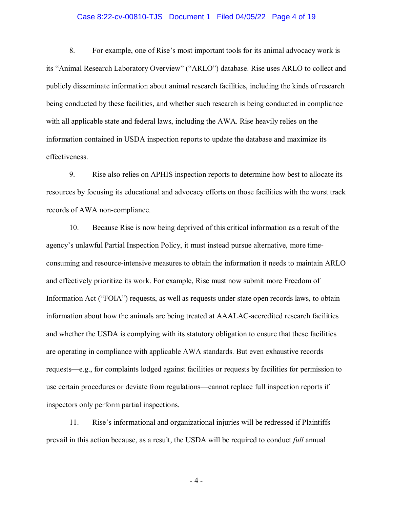### Case 8:22-cv-00810-TJS Document 1 Filed 04/05/22 Page 4 of 19

8. For example, one of Rise's most important tools for its animal advocacy work is its "Animal Research Laboratory Overview" ("ARLO") database. Rise uses ARLO to collect and publicly disseminate information about animal research facilities, including the kinds of research being conducted by these facilities, and whether such research is being conducted in compliance with all applicable state and federal laws, including the AWA. Rise heavily relies on the information contained in USDA inspection reports to update the database and maximize its effectiveness.

9. Rise also relies on APHIS inspection reports to determine how best to allocate its resources by focusing its educational and advocacy efforts on those facilities with the worst track records of AWA non-compliance.

10. Because Rise is now being deprived of this critical information as a result of the agency's unlawful Partial Inspection Policy, it must instead pursue alternative, more timeconsuming and resource-intensive measures to obtain the information it needs to maintain ARLO and effectively prioritize its work. For example, Rise must now submit more Freedom of Information Act ("FOIA") requests, as well as requests under state open records laws, to obtain information about how the animals are being treated at AAALAC-accredited research facilities and whether the USDA is complying with its statutory obligation to ensure that these facilities are operating in compliance with applicable AWA standards. But even exhaustive records requests—e.g., for complaints lodged against facilities or requests by facilities for permission to use certain procedures or deviate from regulations—cannot replace full inspection reports if inspectors only perform partial inspections.

11. Rise's informational and organizational injuries will be redressed if Plaintiffs prevail in this action because, as a result, the USDA will be required to conduct *full* annual

- 4 -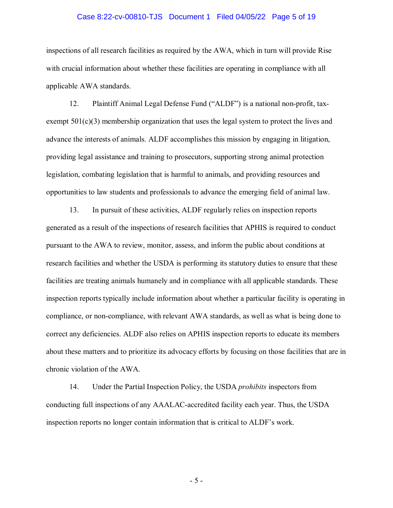### Case 8:22-cv-00810-TJS Document 1 Filed 04/05/22 Page 5 of 19

inspections of all research facilities as required by the AWA, which in turn will provide Rise with crucial information about whether these facilities are operating in compliance with all applicable AWA standards.

12. Plaintiff Animal Legal Defense Fund ("ALDF") is a national non-profit, taxexempt  $501(c)(3)$  membership organization that uses the legal system to protect the lives and advance the interests of animals. ALDF accomplishes this mission by engaging in litigation, providing legal assistance and training to prosecutors, supporting strong animal protection legislation, combating legislation that is harmful to animals, and providing resources and opportunities to law students and professionals to advance the emerging field of animal law.

13. In pursuit of these activities, ALDF regularly relies on inspection reports generated as a result of the inspections of research facilities that APHIS is required to conduct pursuant to the AWA to review, monitor, assess, and inform the public about conditions at research facilities and whether the USDA is performing its statutory duties to ensure that these facilities are treating animals humanely and in compliance with all applicable standards. These inspection reports typically include information about whether a particular facility is operating in compliance, or non-compliance, with relevant AWA standards, as well as what is being done to correct any deficiencies. ALDF also relies on APHIS inspection reports to educate its members about these matters and to prioritize its advocacy efforts by focusing on those facilities that are in chronic violation of the AWA.

14. Under the Partial Inspection Policy, the USDA *prohibits* inspectors from conducting full inspections of any AAALAC-accredited facility each year. Thus, the USDA inspection reports no longer contain information that is critical to ALDF's work.

- 5 -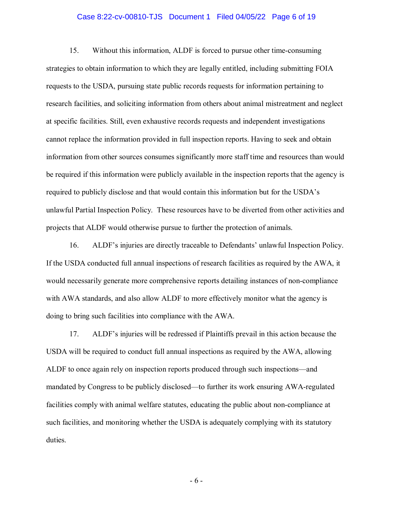### Case 8:22-cv-00810-TJS Document 1 Filed 04/05/22 Page 6 of 19

15. Without this information, ALDF is forced to pursue other time-consuming strategies to obtain information to which they are legally entitled, including submitting FOIA requests to the USDA, pursuing state public records requests for information pertaining to research facilities, and soliciting information from others about animal mistreatment and neglect at specific facilities. Still, even exhaustive records requests and independent investigations cannot replace the information provided in full inspection reports. Having to seek and obtain information from other sources consumes significantly more staff time and resources than would be required if this information were publicly available in the inspection reports that the agency is required to publicly disclose and that would contain this information but for the USDA's unlawful Partial Inspection Policy. These resources have to be diverted from other activities and projects that ALDF would otherwise pursue to further the protection of animals.

16. ALDF's injuries are directly traceable to Defendants' unlawful Inspection Policy. If the USDA conducted full annual inspections of research facilities as required by the AWA, it would necessarily generate more comprehensive reports detailing instances of non-compliance with AWA standards, and also allow ALDF to more effectively monitor what the agency is doing to bring such facilities into compliance with the AWA.

17. ALDF's injuries will be redressed if Plaintiffs prevail in this action because the USDA will be required to conduct full annual inspections as required by the AWA, allowing ALDF to once again rely on inspection reports produced through such inspections—and mandated by Congress to be publicly disclosed—to further its work ensuring AWA-regulated facilities comply with animal welfare statutes, educating the public about non-compliance at such facilities, and monitoring whether the USDA is adequately complying with its statutory duties.

- 6 -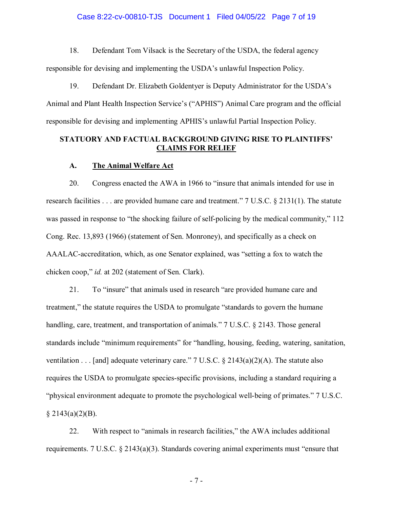### Case 8:22-cv-00810-TJS Document 1 Filed 04/05/22 Page 7 of 19

18. Defendant Tom Vilsack is the Secretary of the USDA, the federal agency

responsible for devising and implementing the USDA's unlawful Inspection Policy.

19. Defendant Dr. Elizabeth Goldentyer is Deputy Administrator for the USDA's Animal and Plant Health Inspection Service's ("APHIS") Animal Care program and the official responsible for devising and implementing APHIS's unlawful Partial Inspection Policy.

# **STATUORY AND FACTUAL BACKGROUND GIVING RISE TO PLAINTIFFS' CLAIMS FOR RELIEF**

#### **A. The Animal Welfare Act**

20. Congress enacted the AWA in 1966 to "insure that animals intended for use in research facilities . . . are provided humane care and treatment." 7 U.S.C. § 2131(1). The statute was passed in response to "the shocking failure of self-policing by the medical community," 112 Cong. Rec. 13,893 (1966) (statement of Sen. Monroney), and specifically as a check on AAALAC-accreditation, which, as one Senator explained, was "setting a fox to watch the chicken coop," *id.* at 202 (statement of Sen. Clark).

21. To "insure" that animals used in research "are provided humane care and treatment," the statute requires the USDA to promulgate "standards to govern the humane handling, care, treatment, and transportation of animals." 7 U.S.C. § 2143. Those general standards include "minimum requirements" for "handling, housing, feeding, watering, sanitation, ventilation . . . [and] adequate veterinary care." 7 U.S.C.  $\S 2143(a)(2)(A)$ . The statute also requires the USDA to promulgate species-specific provisions, including a standard requiring a "physical environment adequate to promote the psychological well-being of primates." 7 U.S.C.  $§$  2143(a)(2)(B).

22. With respect to "animals in research facilities," the AWA includes additional requirements. 7 U.S.C. § 2143(a)(3). Standards covering animal experiments must "ensure that

- 7 -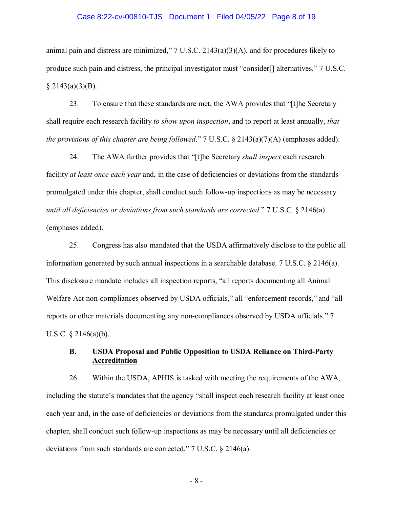### Case 8:22-cv-00810-TJS Document 1 Filed 04/05/22 Page 8 of 19

animal pain and distress are minimized," 7 U.S.C. 2143(a)(3)(A), and for procedures likely to produce such pain and distress, the principal investigator must "consider[] alternatives." 7 U.S.C.  $§$  2143(a)(3)(B).

23. To ensure that these standards are met, the AWA provides that "[t]he Secretary shall require each research facility *to show upon inspection*, and to report at least annually, *that the provisions of this chapter are being followed*." 7 U.S.C. § 2143(a)(7)(A) (emphases added).

24. The AWA further provides that "[t]he Secretary *shall inspect* each research facility *at least once each year* and, in the case of deficiencies or deviations from the standards promulgated under this chapter, shall conduct such follow-up inspections as may be necessary *until all deficiencies or deviations from such standards are corrected*." 7 U.S.C. § 2146(a) (emphases added).

25. Congress has also mandated that the USDA affirmatively disclose to the public all information generated by such annual inspections in a searchable database. 7 U.S.C. § 2146(a). This disclosure mandate includes all inspection reports, "all reports documenting all Animal Welfare Act non-compliances observed by USDA officials," all "enforcement records," and "all reports or other materials documenting any non-compliances observed by USDA officials." 7 U.S.C. § 2146(a)(b).

# **B. USDA Proposal and Public Opposition to USDA Reliance on Third-Party Accreditation**

26. Within the USDA, APHIS is tasked with meeting the requirements of the AWA, including the statute's mandates that the agency "shall inspect each research facility at least once each year and, in the case of deficiencies or deviations from the standards promulgated under this chapter, shall conduct such follow-up inspections as may be necessary until all deficiencies or deviations from such standards are corrected." 7 U.S.C. § 2146(a).

- 8 -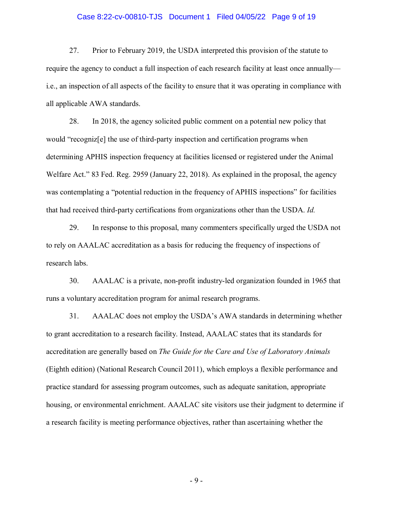### Case 8:22-cv-00810-TJS Document 1 Filed 04/05/22 Page 9 of 19

27. Prior to February 2019, the USDA interpreted this provision of the statute to require the agency to conduct a full inspection of each research facility at least once annually i.e., an inspection of all aspects of the facility to ensure that it was operating in compliance with all applicable AWA standards.

28. In 2018, the agency solicited public comment on a potential new policy that would "recogniz[e] the use of third-party inspection and certification programs when determining APHIS inspection frequency at facilities licensed or registered under the Animal Welfare Act." 83 Fed. Reg. 2959 (January 22, 2018). As explained in the proposal, the agency was contemplating a "potential reduction in the frequency of APHIS inspections" for facilities that had received third-party certifications from organizations other than the USDA. *Id.*

29. In response to this proposal, many commenters specifically urged the USDA not to rely on AAALAC accreditation as a basis for reducing the frequency of inspections of research labs.

30. AAALAC is a private, non-profit industry-led organization founded in 1965 that runs a voluntary accreditation program for animal research programs.

31. AAALAC does not employ the USDA's AWA standards in determining whether to grant accreditation to a research facility. Instead, AAALAC states that its standards for accreditation are generally based on *The Guide for the Care and Use of Laboratory Animals* (Eighth edition) (National Research Council 2011), which employs a flexible performance and practice standard for assessing program outcomes, such as adequate sanitation, appropriate housing, or environmental enrichment. AAALAC site visitors use their judgment to determine if a research facility is meeting performance objectives, rather than ascertaining whether the

- 9 -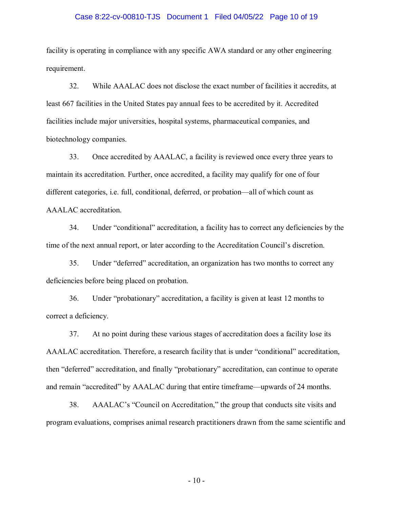### Case 8:22-cv-00810-TJS Document 1 Filed 04/05/22 Page 10 of 19

facility is operating in compliance with any specific AWA standard or any other engineering requirement.

32. While AAALAC does not disclose the exact number of facilities it accredits, at least 667 facilities in the United States pay annual fees to be accredited by it. Accredited facilities include major universities, hospital systems, pharmaceutical companies, and biotechnology companies.

33. Once accredited by AAALAC, a facility is reviewed once every three years to maintain its accreditation. Further, once accredited, a facility may qualify for one of four different categories, i.e. full, conditional, deferred, or probation—all of which count as AAALAC accreditation.

34. Under "conditional" accreditation, a facility has to correct any deficiencies by the time of the next annual report, or later according to the Accreditation Council's discretion.

35. Under "deferred" accreditation, an organization has two months to correct any deficiencies before being placed on probation.

36. Under "probationary" accreditation, a facility is given at least 12 months to correct a deficiency.

37. At no point during these various stages of accreditation does a facility lose its AAALAC accreditation. Therefore, a research facility that is under "conditional" accreditation, then "deferred" accreditation, and finally "probationary" accreditation, can continue to operate and remain "accredited" by AAALAC during that entire timeframe—upwards of 24 months.

38. AAALAC's "Council on Accreditation," the group that conducts site visits and program evaluations, comprises animal research practitioners drawn from the same scientific and

 $-10-$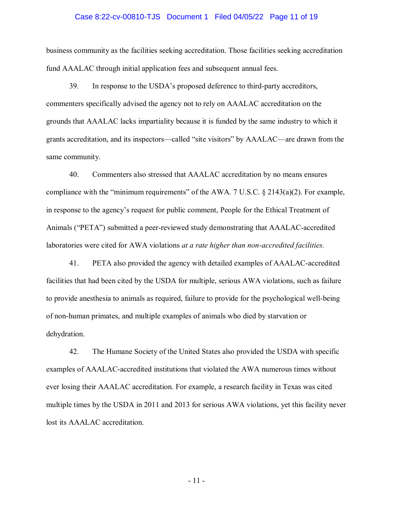### Case 8:22-cv-00810-TJS Document 1 Filed 04/05/22 Page 11 of 19

business community as the facilities seeking accreditation. Those facilities seeking accreditation fund AAALAC through initial application fees and subsequent annual fees.

39. In response to the USDA's proposed deference to third-party accreditors, commenters specifically advised the agency not to rely on AAALAC accreditation on the grounds that AAALAC lacks impartiality because it is funded by the same industry to which it grants accreditation, and its inspectors—called "site visitors" by AAALAC—are drawn from the same community.

40. Commenters also stressed that AAALAC accreditation by no means ensures compliance with the "minimum requirements" of the AWA. 7 U.S.C. § 2143(a)(2). For example, in response to the agency's request for public comment, People for the Ethical Treatment of Animals ("PETA") submitted a peer-reviewed study demonstrating that AAALAC-accredited laboratories were cited for AWA violations *at a rate higher than non-accredited facilities.*

41. PETA also provided the agency with detailed examples of AAALAC-accredited facilities that had been cited by the USDA for multiple, serious AWA violations, such as failure to provide anesthesia to animals as required, failure to provide for the psychological well-being of non-human primates, and multiple examples of animals who died by starvation or dehydration.

42. The Humane Society of the United States also provided the USDA with specific examples of AAALAC-accredited institutions that violated the AWA numerous times without ever losing their AAALAC accreditation. For example, a research facility in Texas was cited multiple times by the USDA in 2011 and 2013 for serious AWA violations, yet this facility never lost its AAALAC accreditation.

- 11 -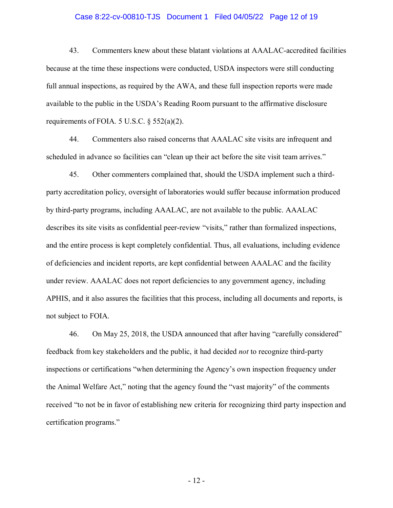### Case 8:22-cv-00810-TJS Document 1 Filed 04/05/22 Page 12 of 19

43. Commenters knew about these blatant violations at AAALAC-accredited facilities because at the time these inspections were conducted, USDA inspectors were still conducting full annual inspections, as required by the AWA, and these full inspection reports were made available to the public in the USDA's Reading Room pursuant to the affirmative disclosure requirements of FOIA.  $5$  U.S.C.  $\S$   $552(a)(2)$ .

44. Commenters also raised concerns that AAALAC site visits are infrequent and scheduled in advance so facilities can "clean up their act before the site visit team arrives."

45. Other commenters complained that, should the USDA implement such a thirdparty accreditation policy, oversight of laboratories would suffer because information produced by third-party programs, including AAALAC, are not available to the public. AAALAC describes its site visits as confidential peer-review "visits," rather than formalized inspections, and the entire process is kept completely confidential. Thus, all evaluations, including evidence of deficiencies and incident reports, are kept confidential between AAALAC and the facility under review. AAALAC does not report deficiencies to any government agency, including APHIS, and it also assures the facilities that this process, including all documents and reports, is not subject to FOIA.

46. On May 25, 2018, the USDA announced that after having "carefully considered" feedback from key stakeholders and the public, it had decided *not* to recognize third-party inspections or certifications "when determining the Agency's own inspection frequency under the Animal Welfare Act," noting that the agency found the "vast majority" of the comments received "to not be in favor of establishing new criteria for recognizing third party inspection and certification programs."

- 12 -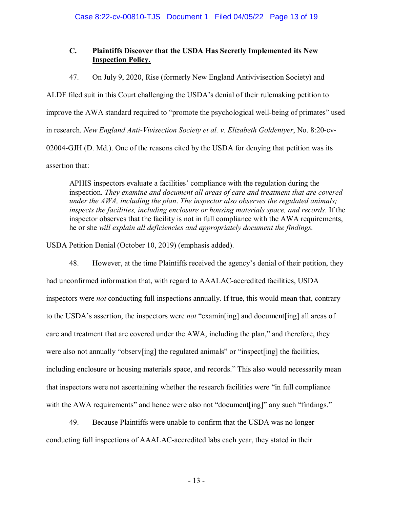# **C. Plaintiffs Discover that the USDA Has Secretly Implemented its New Inspection Policy.**

47. On July 9, 2020, Rise (formerly New England Antivivisection Society) and

ALDF filed suit in this Court challenging the USDA's denial of their rulemaking petition to improve the AWA standard required to "promote the psychological well-being of primates" used in research. *New England Anti-Vivisection Society et al. v. Elizabeth Goldentyer*, No. 8:20-cv-02004-GJH (D. Md.). One of the reasons cited by the USDA for denying that petition was its assertion that:

APHIS inspectors evaluate a facilities' compliance with the regulation during the inspection. *They examine and document all areas of care and treatment that are covered under the AWA, including the plan*. *The inspector also observes the regulated animals; inspects the facilities, including enclosure or housing materials space, and records*. If the inspector observes that the facility is not in full compliance with the AWA requirements, he or she *will explain all deficiencies and appropriately document the findings.*

USDA Petition Denial (October 10, 2019) (emphasis added).

48. However, at the time Plaintiffs received the agency's denial of their petition, they had unconfirmed information that, with regard to AAALAC-accredited facilities, USDA inspectors were *not* conducting full inspections annually. If true, this would mean that, contrary to the USDA's assertion, the inspectors were *not* "examin[ing] and document[ing] all areas of care and treatment that are covered under the AWA, including the plan," and therefore, they were also not annually "observ[ing] the regulated animals" or "inspect[ing] the facilities, including enclosure or housing materials space, and records." This also would necessarily mean that inspectors were not ascertaining whether the research facilities were "in full compliance with the AWA requirements" and hence were also not "document [ing]" any such "findings."

49. Because Plaintiffs were unable to confirm that the USDA was no longer conducting full inspections of AAALAC-accredited labs each year, they stated in their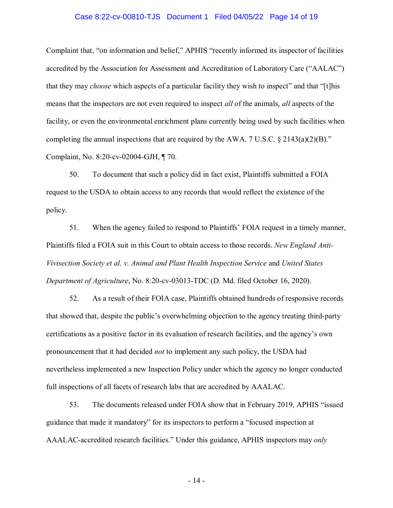### Case 8:22-cv-00810-TJS Document 1 Filed 04/05/22 Page 14 of 19

Complaint that, "on information and belief," APHIS "recently informed its inspector of facilities accredited by the Association for Assessment and Accreditation of Laboratory Care ("AALAC") that they may *choose* which aspects of a particular facility they wish to inspect" and that "[t]his means that the inspectors are not even required to inspect *all* of the animals, *all* aspects of the facility, or even the environmental enrichment plans currently being used by such facilities when completing the annual inspections that are required by the AWA. 7 U.S.C.  $\S$  2143(a)(2)(B)." Complaint, No. 8:20-cv-02004-GJH, ¶ 70.

50. To document that such a policy did in fact exist, Plaintiffs submitted a FOIA request to the USDA to obtain access to any records that would reflect the existence of the policy.

51. When the agency failed to respond to Plaintiffs' FOIA request in a timely manner, Plaintiffs filed a FOIA suit in this Court to obtain access to those records. *New England Anti-Vivisection Society et al. v. Animal and Plant Health Inspection Service* and *United States Department of Agriculture*, No. 8:20-cv-03013-TDC (D. Md. filed October 16, 2020).

52. As a result of their FOIA case, Plaintiffs obtained hundreds of responsive records that showed that, despite the public's overwhelming objection to the agency treating third-party certifications as a positive factor in its evaluation of research facilities, and the agency's own pronouncement that it had decided *not* to implement any such policy, the USDA had nevertheless implemented a new Inspection Policy under which the agency no longer conducted full inspections of all facets of research labs that are accredited by AAALAC.

53. The documents released under FOIA show that in February 2019, APHIS "issued guidance that made it mandatory" for its inspectors to perform a "focused inspection at AAALAC-accredited research facilities." Under this guidance, APHIS inspectors may *only*

- 14 -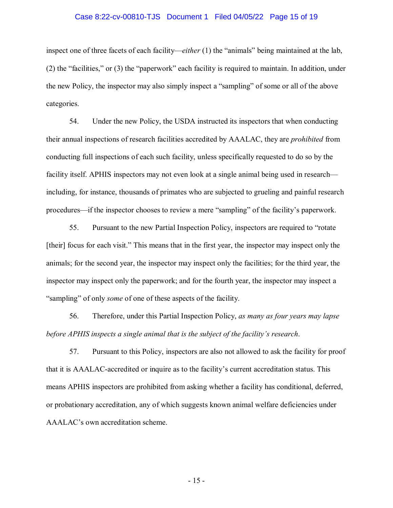### Case 8:22-cv-00810-TJS Document 1 Filed 04/05/22 Page 15 of 19

inspect one of three facets of each facility—*either* (1) the "animals" being maintained at the lab, (2) the "facilities," or (3) the "paperwork" each facility is required to maintain. In addition, under the new Policy, the inspector may also simply inspect a "sampling" of some or all of the above categories.

54. Under the new Policy, the USDA instructed its inspectors that when conducting their annual inspections of research facilities accredited by AAALAC, they are *prohibited* from conducting full inspections of each such facility, unless specifically requested to do so by the facility itself. APHIS inspectors may not even look at a single animal being used in research including, for instance, thousands of primates who are subjected to grueling and painful research procedures—if the inspector chooses to review a mere "sampling" of the facility's paperwork.

55. Pursuant to the new Partial Inspection Policy, inspectors are required to "rotate [their] focus for each visit." This means that in the first year, the inspector may inspect only the animals; for the second year, the inspector may inspect only the facilities; for the third year, the inspector may inspect only the paperwork; and for the fourth year, the inspector may inspect a "sampling" of only *some* of one of these aspects of the facility.

56. Therefore, under this Partial Inspection Policy, *as many as four years may lapse before APHIS inspects a single animal that is the subject of the facility's research*.

57. Pursuant to this Policy, inspectors are also not allowed to ask the facility for proof that it is AAALAC-accredited or inquire as to the facility's current accreditation status. This means APHIS inspectors are prohibited from asking whether a facility has conditional, deferred, or probationary accreditation, any of which suggests known animal welfare deficiencies under AAALAC's own accreditation scheme.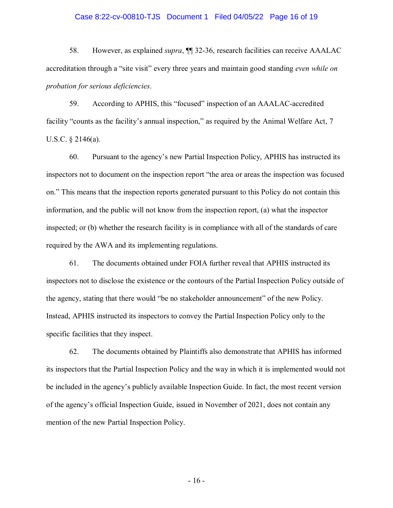### Case 8:22-cv-00810-TJS Document 1 Filed 04/05/22 Page 16 of 19

58. However, as explained *supra*, ¶¶ 32-36, research facilities can receive AAALAC accreditation through a "site visit" every three years and maintain good standing *even while on probation for serious deficiencies*.

59. According to APHIS, this "focused" inspection of an AAALAC-accredited facility "counts as the facility's annual inspection," as required by the Animal Welfare Act, 7 U.S.C. § 2146(a).

60. Pursuant to the agency's new Partial Inspection Policy, APHIS has instructed its inspectors not to document on the inspection report "the area or areas the inspection was focused on." This means that the inspection reports generated pursuant to this Policy do not contain this information, and the public will not know from the inspection report, (a) what the inspector inspected; or (b) whether the research facility is in compliance with all of the standards of care required by the AWA and its implementing regulations.

61. The documents obtained under FOIA further reveal that APHIS instructed its inspectors not to disclose the existence or the contours of the Partial Inspection Policy outside of the agency, stating that there would "be no stakeholder announcement" of the new Policy. Instead, APHIS instructed its inspectors to convey the Partial Inspection Policy only to the specific facilities that they inspect.

62. The documents obtained by Plaintiffs also demonstrate that APHIS has informed its inspectors that the Partial Inspection Policy and the way in which it is implemented would not be included in the agency's publicly available Inspection Guide. In fact, the most recent version of the agency's official Inspection Guide, issued in November of 2021, does not contain any mention of the new Partial Inspection Policy.

- 16 -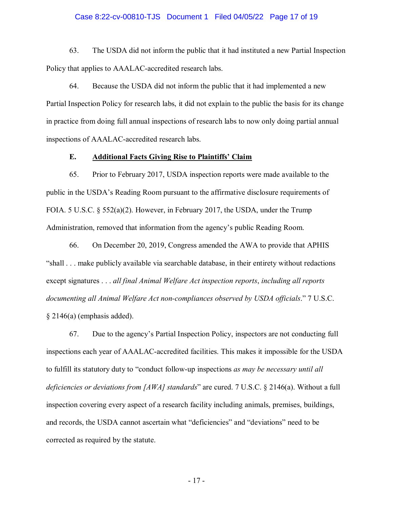### Case 8:22-cv-00810-TJS Document 1 Filed 04/05/22 Page 17 of 19

63. The USDA did not inform the public that it had instituted a new Partial Inspection Policy that applies to AAALAC-accredited research labs.

64. Because the USDA did not inform the public that it had implemented a new Partial Inspection Policy for research labs, it did not explain to the public the basis for its change in practice from doing full annual inspections of research labs to now only doing partial annual inspections of AAALAC-accredited research labs.

## **E. Additional Facts Giving Rise to Plaintiffs' Claim**

65. Prior to February 2017, USDA inspection reports were made available to the public in the USDA's Reading Room pursuant to the affirmative disclosure requirements of FOIA. 5 U.S.C.  $\S$  552(a)(2). However, in February 2017, the USDA, under the Trump Administration, removed that information from the agency's public Reading Room.

 66. On December 20, 2019, Congress amended the AWA to provide that APHIS "shall . . . make publicly available via searchable database, in their entirety without redactions except signatures . . . *all final Animal Welfare Act inspection reports*, *including all reports documenting all Animal Welfare Act non-compliances observed by USDA officials*." 7 U.S.C. § 2146(a) (emphasis added).

 67. Due to the agency's Partial Inspection Policy, inspectors are not conducting full inspections each year of AAALAC-accredited facilities. This makes it impossible for the USDA to fulfill its statutory duty to "conduct follow-up inspections *as may be necessary until all deficiencies or deviations from [AWA] standards*" are cured. 7 U.S.C. § 2146(a). Without a full inspection covering every aspect of a research facility including animals, premises, buildings, and records, the USDA cannot ascertain what "deficiencies" and "deviations" need to be corrected as required by the statute.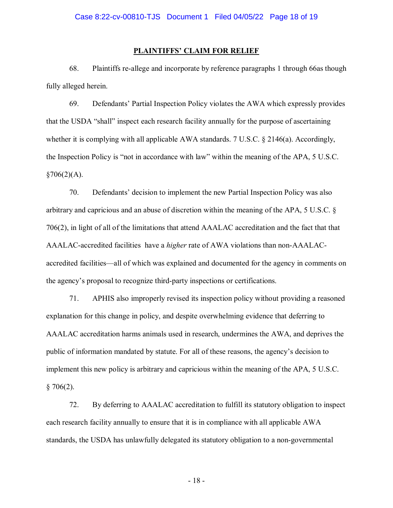#### **PLAINTIFFS' CLAIM FOR RELIEF**

68. Plaintiffs re-allege and incorporate by reference paragraphs 1 through 66as though fully alleged herein.

69. Defendants' Partial Inspection Policy violates the AWA which expressly provides that the USDA "shall" inspect each research facility annually for the purpose of ascertaining whether it is complying with all applicable AWA standards. 7 U.S.C. § 2146(a). Accordingly, the Inspection Policy is "not in accordance with law" within the meaning of the APA, 5 U.S.C.  $§706(2)(A).$ 

70. Defendants' decision to implement the new Partial Inspection Policy was also arbitrary and capricious and an abuse of discretion within the meaning of the APA, 5 U.S.C. § 706(2), in light of all of the limitations that attend AAALAC accreditation and the fact that that AAALAC-accredited facilities have a *higher* rate of AWA violations than non-AAALACaccredited facilities—all of which was explained and documented for the agency in comments on the agency's proposal to recognize third-party inspections or certifications.

71. APHIS also improperly revised its inspection policy without providing a reasoned explanation for this change in policy, and despite overwhelming evidence that deferring to AAALAC accreditation harms animals used in research, undermines the AWA, and deprives the public of information mandated by statute. For all of these reasons, the agency's decision to implement this new policy is arbitrary and capricious within the meaning of the APA, 5 U.S.C.  $§ 706(2).$ 

72. By deferring to AAALAC accreditation to fulfill its statutory obligation to inspect each research facility annually to ensure that it is in compliance with all applicable AWA standards, the USDA has unlawfully delegated its statutory obligation to a non-governmental

- 18 -